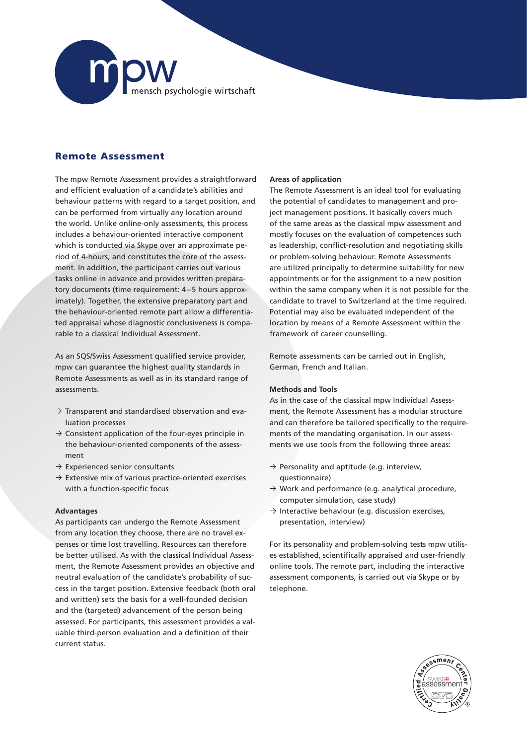

# Remote Assessment

The mpw Remote Assessment provides a straightforward and efficient evaluation of a candidate's abilities and behaviour patterns with regard to a target position, and can be performed from virtually any location around the world. Unlike online-only assessments, this process includes a behaviour-oriented interactive component which is conducted via Skype over an approximate period of 4-hours, and constitutes the core of the assessment. In addition, the participant carries out various tasks online in advance and provides written preparatory documents (time requirement: 4–5 hours approximately). Together, the extensive preparatory part and the behaviour-oriented remote part allow a differentiated appraisal whose diagnostic conclusiveness is comparable to a classical Individual Assessment.

As an SQS/Swiss Assessment qualified service provider, mpw can guarantee the highest quality standards in Remote Assessments as well as in its standard range of assessments.

- $\rightarrow$  Transparent and standardised observation and evaluation processes
- $\rightarrow$  Consistent application of the four-eyes principle in the behaviour-oriented components of the assessment
- $\rightarrow$  Experienced senior consultants
- $\rightarrow$  Extensive mix of various practice-oriented exercises with a function-specific focus

### **Advantages**

As participants can undergo the Remote Assessment from any location they choose, there are no travel expenses or time lost travelling. Resources can therefore be better utilised. As with the classical Individual Assessment, the Remote Assessment provides an objective and neutral evaluation of the candidate's probability of success in the target position. Extensive feedback (both oral and written) sets the basis for a well-founded decision and the (targeted) advancement of the person being assessed. For participants, this assessment provides a valuable third-person evaluation and a definition of their current status.

## **Areas of application**

The Remote Assessment is an ideal tool for evaluating the potential of candidates to management and project management positions. It basically covers much of the same areas as the classical mpw assessment and mostly focuses on the evaluation of competences such as leadership, conflict-resolution and negotiating skills or problem-solving behaviour. Remote Assessments are utilized principally to determine suitability for new appointments or for the assignment to a new position within the same company when it is not possible for the candidate to travel to Switzerland at the time required. Potential may also be evaluated independent of the location by means of a Remote Assessment within the framework of career counselling.

Remote assessments can be carried out in English, German, French and Italian.

### **Methods and Tools**

As in the case of the classical mpw Individual Assessment, the Remote Assessment has a modular structure and can therefore be tailored specifically to the requirements of the mandating organisation. In our assessments we use tools from the following three areas:

- $\rightarrow$  Personality and aptitude (e.g. interview, questionnaire)
- $\rightarrow$  Work and performance (e.g. analytical procedure, computer simulation, case study)
- $\rightarrow$  Interactive behaviour (e.g. discussion exercises, presentation, interview)

For its personality and problem-solving tests mpw utilises established, scientifically appraised and user-friendly online tools. The remote part, including the interactive assessment components, is carried out via Skype or by telephone.